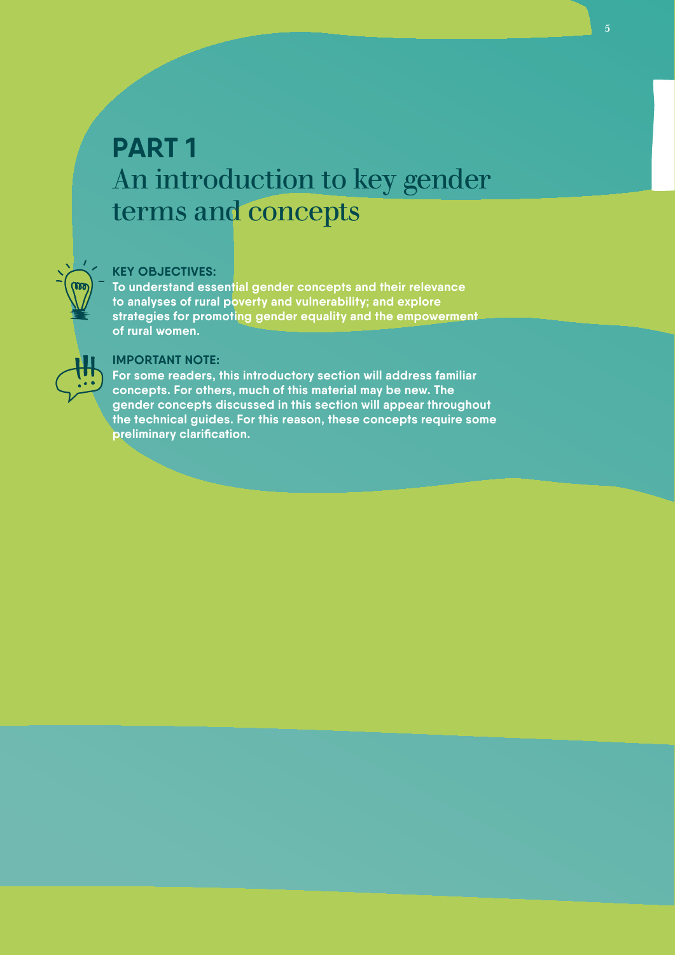# **PART 1**  An introduction to key gender terms and concepts

# **KEY OBJECTIVES:**

**To understand essential gender concepts and their relevance to analyses of rural poverty and vulnerability; and explore strategies for promoting gender equality and the empowerment of rural women.** 



#### **IMPORTANT NOTE:**

**For some readers, this introductory section will address familiar concepts. For others, much of this material may be new. The gender concepts discussed in this section will appear throughout the technical guides. For this reason, these concepts require some preliminary clarification.**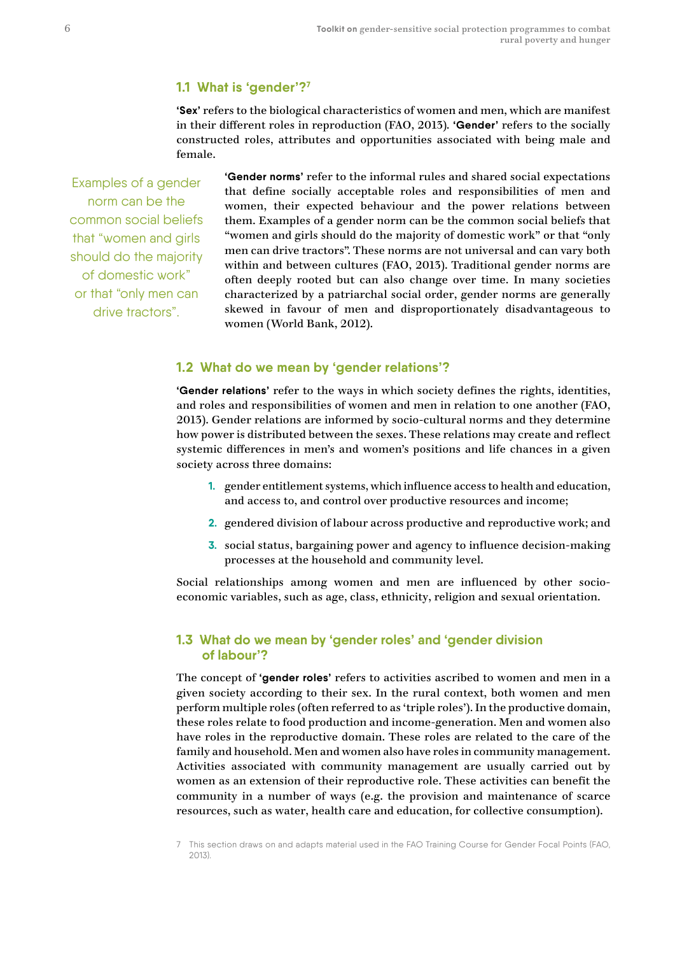# **1.1 What is 'gender'?7**

**'Sex'** refers to the biological characteristics of women and men, which are manifest in their different roles in reproduction (FAO, 2013)*.* **'Gender'** refers to the socially constructed roles, attributes and opportunities associated with being male and female.

Examples of a gender norm can be the common social beliefs that "women and girls should do the majority of domestic work" or that "only men can drive tractors".

**'Gender norms'** refer to the informal rules and shared social expectations that define socially acceptable roles and responsibilities of men and women, their expected behaviour and the power relations between them. Examples of a gender norm can be the common social beliefs that "women and girls should do the majority of domestic work" or that "only men can drive tractors". These norms are not universal and can vary both within and between cultures (FAO, 2013). Traditional gender norms are often deeply rooted but can also change over time. In many societies characterized by a patriarchal social order, gender norms are generally skewed in favour of men and disproportionately disadvantageous to women (World Bank, 2012).

## **1.2 What do we mean by 'gender relations'?**

**'Gender relations'** refer to the ways in which society defines the rights, identities, and roles and responsibilities of women and men in relation to one another (FAO, 2013). Gender relations are informed by socio-cultural norms and they determine how power is distributed between the sexes. These relations may create and reflect systemic differences in men's and women's positions and life chances in a given society across three domains:

- **1.** gender entitlement systems, which influence access to health and education, and access to, and control over productive resources and income;
- **2.** gendered division of labour across productive and reproductive work; and
- **3.** social status, bargaining power and agency to influence decision-making processes at the household and community level.

Social relationships among women and men are influenced by other socioeconomic variables, such as age, class, ethnicity, religion and sexual orientation.

### **1.3 What do we mean by 'gender roles' and 'gender division of labour'?**

The concept of **'gender roles'** refers to activities ascribed to women and men in a given society according to their sex. In the rural context, both women and men perform multiple roles (often referred to as 'triple roles'). In the productive domain, these roles relate to food production and income-generation. Men and women also have roles in the reproductive domain. These roles are related to the care of the family and household. Men and women also have roles in community management. Activities associated with community management are usually carried out by women as an extension of their reproductive role. These activities can benefit the community in a number of ways (e.g. the provision and maintenance of scarce resources, such as water, health care and education, for collective consumption).

<sup>7</sup> This section draws on and adapts material used in the FAO Training Course for Gender Focal Points (FAO, 2013).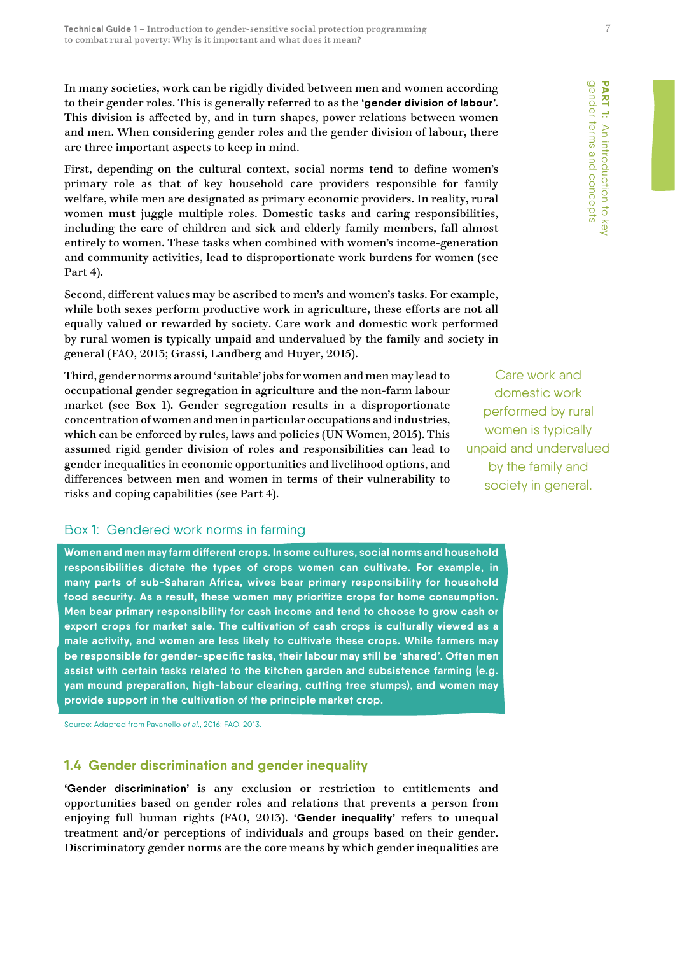In many societies, work can be rigidly divided between men and women according to their gender roles. This is generally referred to as the **'gender division of labour'**. This division is affected by, and in turn shapes, power relations between women and men. When considering gender roles and the gender division of labour, there are three important aspects to keep in mind.

First, depending on the cultural context, social norms tend to define women's primary role as that of key household care providers responsible for family welfare, while men are designated as primary economic providers. In reality, rural women must juggle multiple roles. Domestic tasks and caring responsibilities, including the care of children and sick and elderly family members, fall almost entirely to women. These tasks when combined with women's income-generation and community activities, lead to disproportionate work burdens for women (see Part 4).

Second, different values may be ascribed to men's and women's tasks. For example, while both sexes perform productive work in agriculture, these efforts are not all equally valued or rewarded by society. Care work and domestic work performed by rural women is typically unpaid and undervalued by the family and society in general (FAO, 2013; Grassi, Landberg and Huyer, 2015).

Third, gender norms around 'suitable' jobs for women and men may lead to occupational gender segregation in agriculture and the non-farm labour market (see Box 1). Gender segregation results in a disproportionate concentration of women and men in particular occupations and industries, which can be enforced by rules, laws and policies (UN Women, 2015). This assumed rigid gender division of roles and responsibilities can lead to gender inequalities in economic opportunities and livelihood options, and differences between men and women in terms of their vulnerability to risks and coping capabilities (see Part 4).

# Box 1: Gendered work norms in farming

**Women and men may farm different crops. In some cultures, social norms and household responsibilities dictate the types of crops women can cultivate. For example, in many parts of sub-Saharan Africa, wives bear primary responsibility for household food security. As a result, these women may prioritize crops for home consumption. Men bear primary responsibility for cash income and tend to choose to grow cash or export crops for market sale. The cultivation of cash crops is culturally viewed as a male activity, and women are less likely to cultivate these crops. While farmers may be responsible for gender-specific tasks, their labour may still be 'shared'. Often men assist with certain tasks related to the kitchen garden and subsistence farming (e.g. yam mound preparation, high-labour clearing, cutting tree stumps), and women may provide support in the cultivation of the principle market crop.** 

Source: Adapted from Pavanello *et al*., 2016; FAO, 2013.

# **1.4 Gender discrimination and gender inequality**

**'Gender discrimination'** is any exclusion or restriction to entitlements and opportunities based on gender roles and relations that prevents a person from enjoying full human rights (FAO, 2013). **'Gender inequality'** refers to unequal treatment and/or perceptions of individuals and groups based on their gender. Discriminatory gender norms are the core means by which gender inequalities are

Care work and domestic work performed by rural women is typically unpaid and undervalued by the family and society in general.

gender terms and concepts gender terms and concepts **PART 1:** An introduction to key An introduction to key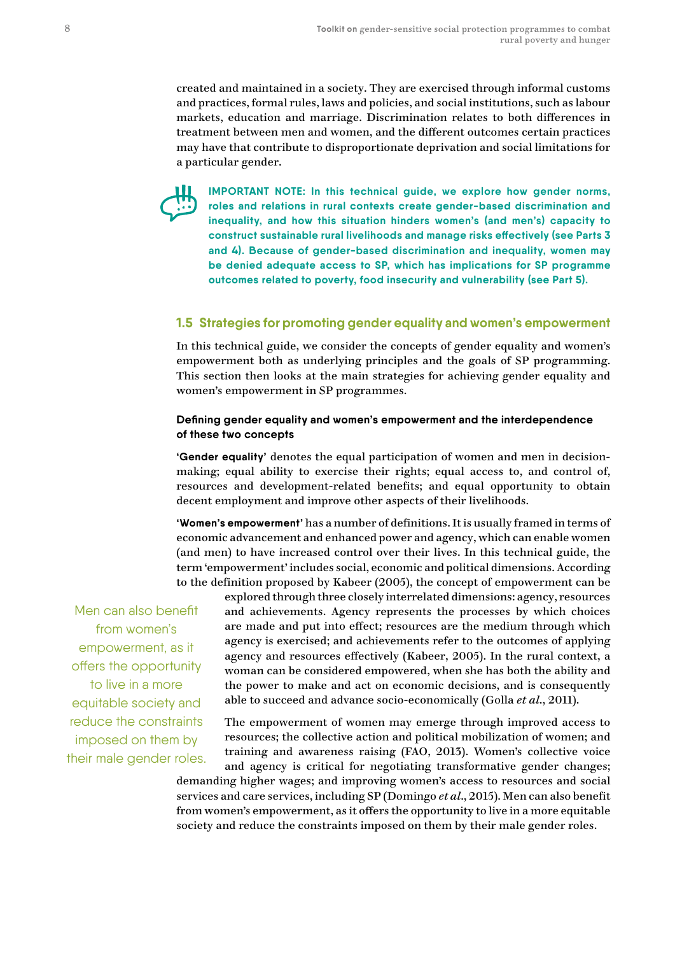created and maintained in a society. They are exercised through informal customs and practices, formal rules, laws and policies, and social institutions, such as labour markets, education and marriage. Discrimination relates to both differences in treatment between men and women, and the different outcomes certain practices may have that contribute to disproportionate deprivation and social limitations for a particular gender.



**IMPORTANT NOTE: In this technical guide, we explore how gender norms, roles and relations in rural contexts create gender-based discrimination and inequality, and how this situation hinders women's (and men's) capacity to construct sustainable rural livelihoods and manage risks effectively (see Parts 3 and 4). Because of gender-based discrimination and inequality, women may be denied adequate access to SP, which has implications for SP programme outcomes related to poverty, food insecurity and vulnerability (see Part 5).**

# **1.5 Strategies for promoting gender equality and women's empowerment**

In this technical guide, we consider the concepts of gender equality and women's empowerment both as underlying principles and the goals of SP programming. This section then looks at the main strategies for achieving gender equality and women's empowerment in SP programmes.

#### **Defining gender equality and women's empowerment and the interdependence of these two concepts**

**'Gender equality'** denotes the equal participation of women and men in decisionmaking; equal ability to exercise their rights; equal access to, and control of, resources and development-related benefits; and equal opportunity to obtain decent employment and improve other aspects of their livelihoods.

**'Women's empowerment'** has a number of definitions. It is usually framed in terms of economic advancement and enhanced power and agency, which can enable women (and men) to have increased control over their lives. In this technical guide, the term 'empowerment' includes social, economic and political dimensions. According to the definition proposed by Kabeer (2005), the concept of empowerment can be

Men can also benefit from women's empowerment, as it offers the opportunity to live in a more equitable society and reduce the constraints imposed on them by their male gender roles.

explored through three closely interrelated dimensions: agency, resources and achievements. Agency represents the processes by which choices are made and put into effect; resources are the medium through which agency is exercised; and achievements refer to the outcomes of applying agency and resources effectively (Kabeer, 2005). In the rural context, a woman can be considered empowered, when she has both the ability and the power to make and act on economic decisions, and is consequently able to succeed and advance socio-economically (Golla *et al*., 2011).

The empowerment of women may emerge through improved access to resources; the collective action and political mobilization of women; and training and awareness raising (FAO, 2013). Women's collective voice and agency is critical for negotiating transformative gender changes; demanding higher wages; and improving women's access to resources and social services and care services, including SP (Domingo *et al*., 2015). Men can also benefit from women's empowerment, as it offers the opportunity to live in a more equitable society and reduce the constraints imposed on them by their male gender roles.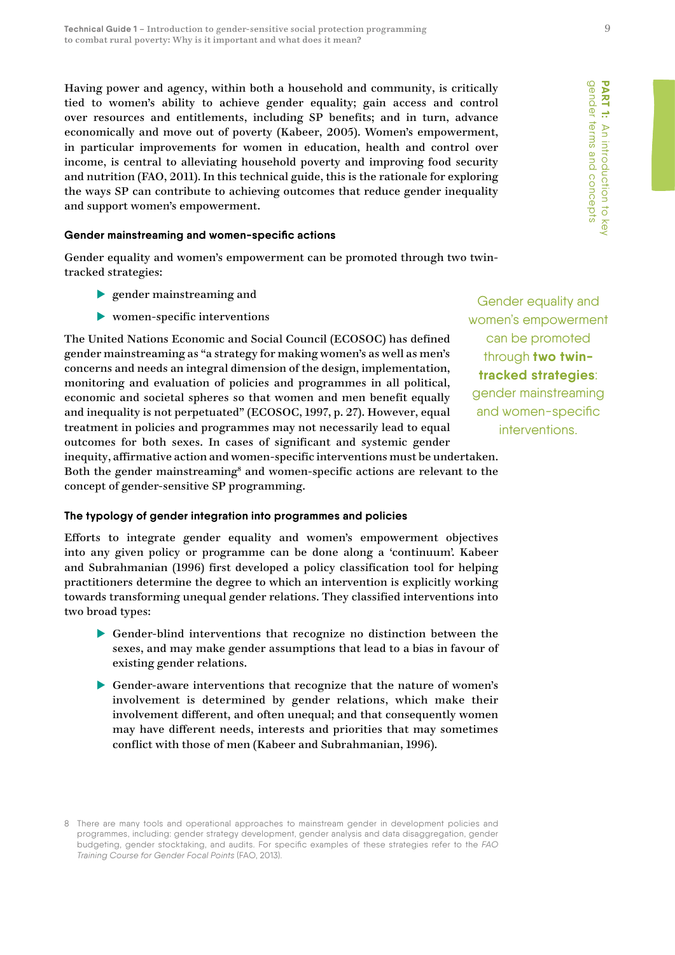Having power and agency, within both a household and community, is critically tied to women's ability to achieve gender equality; gain access and control over resources and entitlements, including SP benefits; and in turn, advance economically and move out of poverty (Kabeer, 2005). Women's empowerment, in particular improvements for women in education, health and control over income, is central to alleviating household poverty and improving food security and nutrition (FAO, 2011). In this technical guide, this is the rationale for exploring the ways SP can contribute to achieving outcomes that reduce gender inequality and support women's empowerment.

#### **Gender mainstreaming and women-specific actions**

Gender equality and women's empowerment can be promoted through two twintracked strategies:

- $\blacktriangleright$  gender mainstreaming and
- $\blacktriangleright$  women-specific interventions

The United Nations Economic and Social Council (ECOSOC) has defined gender mainstreaming as "a strategy for making women's as well as men's concerns and needs an integral dimension of the design, implementation, monitoring and evaluation of policies and programmes in all political, economic and societal spheres so that women and men benefit equally and inequality is not perpetuated" (ECOSOC, 1997, p. 27). However, equal treatment in policies and programmes may not necessarily lead to equal outcomes for both sexes. In cases of significant and systemic gender inequity, affirmative action and women-specific interventions must be undertaken. Both the gender mainstreaming<sup>8</sup> and women-specific actions are relevant to the concept of gender-sensitive SP programming.

#### **The typology of gender integration into programmes and policies**

Efforts to integrate gender equality and women's empowerment objectives into any given policy or programme can be done along a 'continuum'. Kabeer and Subrahmanian (1996) first developed a policy classification tool for helping practitioners determine the degree to which an intervention is explicitly working towards transforming unequal gender relations. They classified interventions into two broad types:

- Gender-blind interventions that recognize no distinction between the sexes, and may make gender assumptions that lead to a bias in favour of existing gender relations.
- Gender-aware interventions that recognize that the nature of women's involvement is determined by gender relations, which make their involvement different, and often unequal; and that consequently women may have different needs, interests and priorities that may sometimes conflict with those of men (Kabeer and Subrahmanian, 1996).

Gender equality and women's empowerment can be promoted through **two twintracked strategies**: gender mainstreaming and women-specific interventions.

<sup>8</sup> There are many tools and operational approaches to mainstream gender in development policies and programmes, including: gender strategy development, gender analysis and data disaggregation, gender budgeting, gender stocktaking, and audits. For specific examples of these strategies refer to the *FAO Training Course for Gender Focal Points* (FAO, 2013).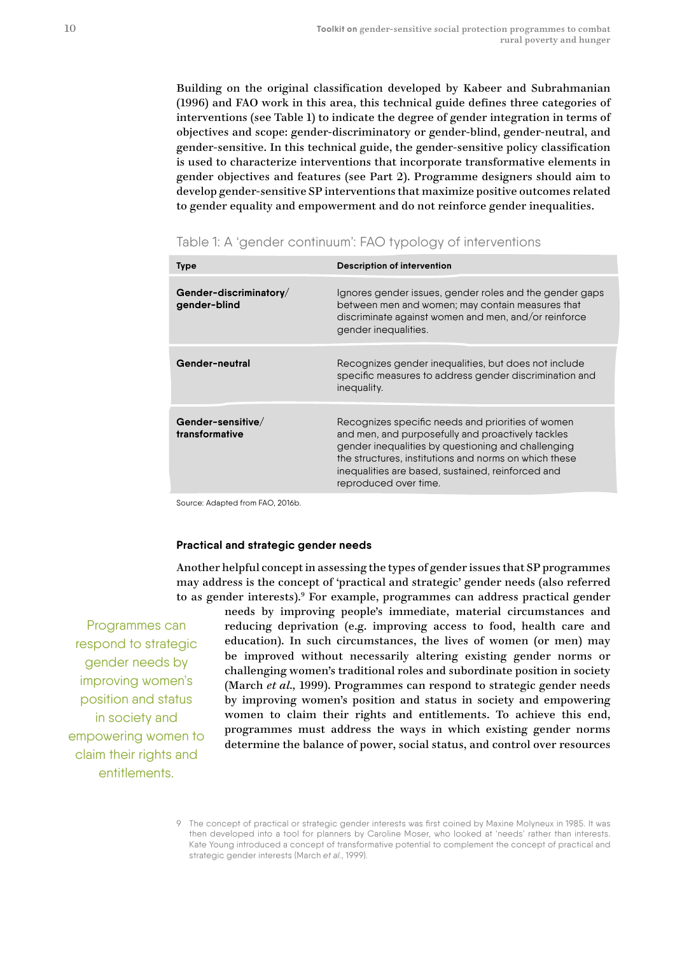Building on the original classification developed by Kabeer and Subrahmanian (1996) and FAO work in this area, this technical guide defines three categories of interventions (see Table 1) to indicate the degree of gender integration in terms of objectives and scope: gender-discriminatory or gender-blind, gender-neutral, and gender-sensitive. In this technical guide, the gender-sensitive policy classification is used to characterize interventions that incorporate transformative elements in gender objectives and features (see Part 2). Programme designers should aim to develop gender-sensitive SP interventions that maximize positive outcomes related to gender equality and empowerment and do not reinforce gender inequalities.

| <b>Type</b>                            | <b>Description of intervention</b>                                                                                                                                                                                                                                                                  |
|----------------------------------------|-----------------------------------------------------------------------------------------------------------------------------------------------------------------------------------------------------------------------------------------------------------------------------------------------------|
| Gender-discriminatory/<br>gender-blind | Ignores gender issues, gender roles and the gender gaps<br>between men and women; may contain measures that<br>discriminate against women and men, and/or reinforce<br>gender inequalities.                                                                                                         |
| Gender-neutral                         | Recognizes gender inequalities, but does not include<br>specific measures to address gender discrimination and<br>inequality.                                                                                                                                                                       |
| Gender-sensitive/<br>transformative    | Recognizes specific needs and priorities of women<br>and men, and purposefully and proactively tackles<br>gender inequalities by questioning and challenging<br>the structures, institutions and norms on which these<br>inequalities are based, sustained, reinforced and<br>reproduced over time. |

Table 1: A 'gender continuum': FAO typology of interventions

Source: Adapted from FAO, 2016b.

#### **Practical and strategic gender needs**

Another helpful concept in assessing the types of gender issues that SP programmes may address is the concept of 'practical and strategic' gender needs (also referred to as gender interests).<sup>9</sup> For example, programmes can address practical gender

Programmes can respond to strategic gender needs by improving women's position and status in society and empowering women to claim their rights and entitlements.

needs by improving people's immediate, material circumstances and reducing deprivation (e.g. improving access to food, health care and education). In such circumstances, the lives of women (or men) may be improved without necessarily altering existing gender norms or challenging women's traditional roles and subordinate position in society (March *et al.,* 1999). Programmes can respond to strategic gender needs by improving women's position and status in society and empowering women to claim their rights and entitlements. To achieve this end, programmes must address the ways in which existing gender norms determine the balance of power, social status, and control over resources

<sup>9</sup> The concept of practical or strategic gender interests was first coined by Maxine Molyneux in 1985. It was then developed into a tool for planners by Caroline Moser, who looked at 'needs' rather than interests. Kate Young introduced a concept of transformative potential to complement the concept of practical and strategic gender interests (March *et al.,* 1999).